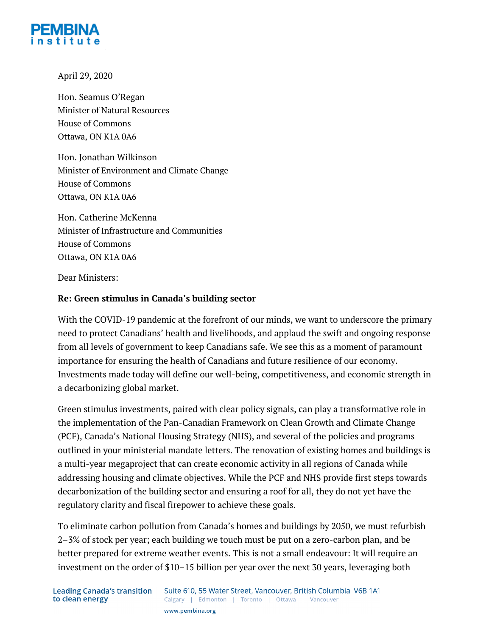

April 29, 2020

Hon. Seamus O'Regan Minister of Natural Resources House of Commons Ottawa, ON K1A 0A6

Hon. Jonathan Wilkinson Minister of Environment and Climate Change House of Commons Ottawa, ON K1A 0A6

Hon. Catherine McKenna Minister of Infrastructure and Communities House of Commons Ottawa, ON K1A 0A6

Dear Ministers:

#### **Re: Green stimulus in Canada's building sector**

With the COVID-19 pandemic at the forefront of our minds, we want to underscore the primary need to protect Canadians' health and livelihoods, and applaud the swift and ongoing response from all levels of government to keep Canadians safe. We see this as a moment of paramount importance for ensuring the health of Canadians and future resilience of our economy. Investments made today will define our well-being, competitiveness, and economic strength in a decarbonizing global market.

Green stimulus investments, paired with clear policy signals, can play a transformative role in the implementation of the Pan-Canadian Framework on Clean Growth and Climate Change (PCF), Canada's National Housing Strategy (NHS), and several of the policies and programs outlined in your ministerial mandate letters. The renovation of existing homes and buildings is a multi-year megaproject that can create economic activity in all regions of Canada while addressing housing and climate objectives. While the PCF and NHS provide first steps towards decarbonization of the building sector and ensuring a roof for all, they do not yet have the regulatory clarity and fiscal firepower to achieve these goals.

To eliminate carbon pollution from Canada's homes and buildings by 2050, we must refurbish 2–3% of stock per year; each building we touch must be put on a zero-carbon plan, and be better prepared for extreme weather events. This is not a small endeavour: It will require an investment on the order of \$10–15 billion per year over the next 30 years, leveraging both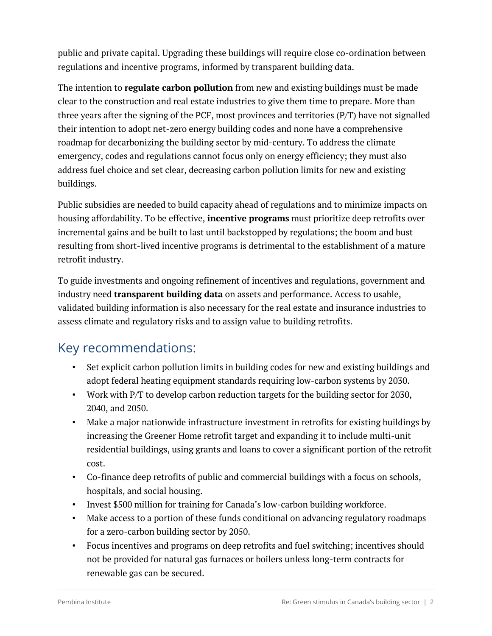public and private capital. Upgrading these buildings will require close co-ordination between regulations and incentive programs, informed by transparent building data.

The intention to **regulate carbon pollution** from new and existing buildings must be made clear to the construction and real estate industries to give them time to prepare. More than three years after the signing of the PCF, most provinces and territories (P/T) have not signalled their intention to adopt net-zero energy building codes and none have a comprehensive roadmap for decarbonizing the building sector by mid-century. To address the climate emergency, codes and regulations cannot focus only on energy efficiency; they must also address fuel choice and set clear, decreasing carbon pollution limits for new and existing buildings.

Public subsidies are needed to build capacity ahead of regulations and to minimize impacts on housing affordability. To be effective, **incentive programs** must prioritize deep retrofits over incremental gains and be built to last until backstopped by regulations; the boom and bust resulting from short-lived incentive programs is detrimental to the establishment of a mature retrofit industry.

To guide investments and ongoing refinement of incentives and regulations, government and industry need **transparent building data** on assets and performance. Access to usable, validated building information is also necessary for the real estate and insurance industries to assess climate and regulatory risks and to assign value to building retrofits.

#### Key recommendations:

- Set explicit carbon pollution limits in building codes for new and existing buildings and adopt federal heating equipment standards requiring low-carbon systems by 2030.
- Work with P/T to develop carbon reduction targets for the building sector for 2030, 2040, and 2050.
- Make a major nationwide infrastructure investment in retrofits for existing buildings by increasing the Greener Home retrofit target and expanding it to include multi-unit residential buildings, using grants and loans to cover a significant portion of the retrofit cost.
- Co-finance deep retrofits of public and commercial buildings with a focus on schools, hospitals, and social housing.
- Invest \$500 million for training for Canada's low-carbon building workforce.
- Make access to a portion of these funds conditional on advancing regulatory roadmaps for a zero-carbon building sector by 2050.
- Focus incentives and programs on deep retrofits and fuel switching; incentives should not be provided for natural gas furnaces or boilers unless long-term contracts for renewable gas can be secured.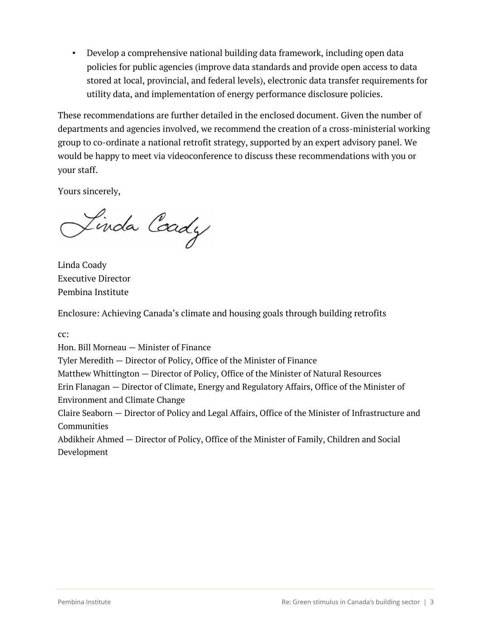• Develop a comprehensive national building data framework, including open data policies for public agencies (improve data standards and provide open access to data stored at local, provincial, and federal levels), electronic data transfer requirements for utility data, and implementation of energy performance disclosure policies.

These recommendations are further detailed in the enclosed document. Given the number of departments and agencies involved, we recommend the creation of a cross-ministerial working group to co-ordinate a national retrofit strategy, supported by an expert advisory panel. We would be happy to meet via videoconference to discuss these recommendations with you or your staff.

Yours sincerely,

Linda Coady

Linda Coady Executive Director Pembina Institute

Enclosure: Achieving Canada's climate and housing goals through building retrofits

cc:

Hon. Bill Morneau — Minister of Finance

Tyler Meredith — Director of Policy, Office of the Minister of Finance

Matthew Whittington — Director of Policy, Office of the Minister of Natural Resources

Erin Flanagan — Director of Climate, Energy and Regulatory Affairs, Office of the Minister of Environment and Climate Change

Claire Seaborn — Director of Policy and Legal Affairs, Office of the Minister of Infrastructure and **Communities** 

Abdikheir Ahmed — Director of Policy, Office of the Minister of Family, Children and Social Development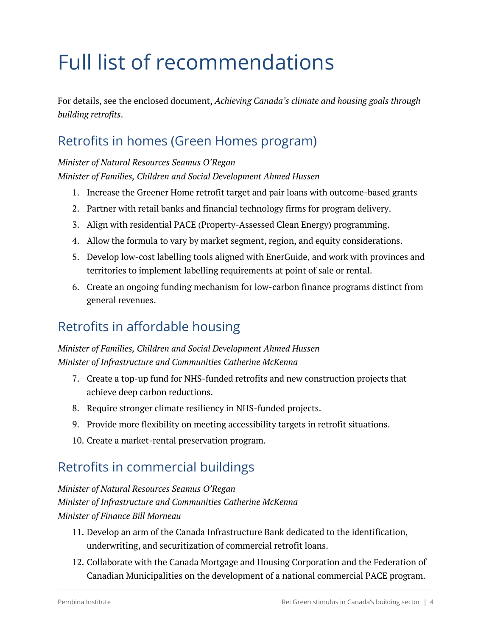# Full list of recommendations

For details, see the enclosed document, *Achieving Canada's climate and housing goals through building retrofits*.

### Retrofits in homes (Green Homes program)

*Minister of Natural Resources Seamus O'Regan Minister of Families, Children and Social Development Ahmed Hussen*

- 1. Increase the Greener Home retrofit target and pair loans with outcome-based grants
- 2. Partner with retail banks and financial technology firms for program delivery.
- 3. Align with residential PACE (Property-Assessed Clean Energy) programming.
- 4. Allow the formula to vary by market segment, region, and equity considerations.
- 5. Develop low-cost labelling tools aligned with EnerGuide, and work with provinces and territories to implement labelling requirements at point of sale or rental.
- 6. Create an ongoing funding mechanism for low-carbon finance programs distinct from general revenues.

### Retrofits in affordable housing

#### *Minister of Families, Children and Social Development Ahmed Hussen Minister of Infrastructure and Communities Catherine McKenna*

- 7. Create a top-up fund for NHS-funded retrofits and new construction projects that achieve deep carbon reductions.
- 8. Require stronger climate resiliency in NHS-funded projects.
- 9. Provide more flexibility on meeting accessibility targets in retrofit situations.
- 10. Create a market-rental preservation program.

#### Retrofits in commercial buildings

*Minister of Natural Resources Seamus O'Regan Minister of Infrastructure and Communities Catherine McKenna Minister of Finance Bill Morneau*

- 11. Develop an arm of the Canada Infrastructure Bank dedicated to the identification, underwriting, and securitization of commercial retrofit loans.
- 12. Collaborate with the Canada Mortgage and Housing Corporation and the Federation of Canadian Municipalities on the development of a national commercial PACE program.